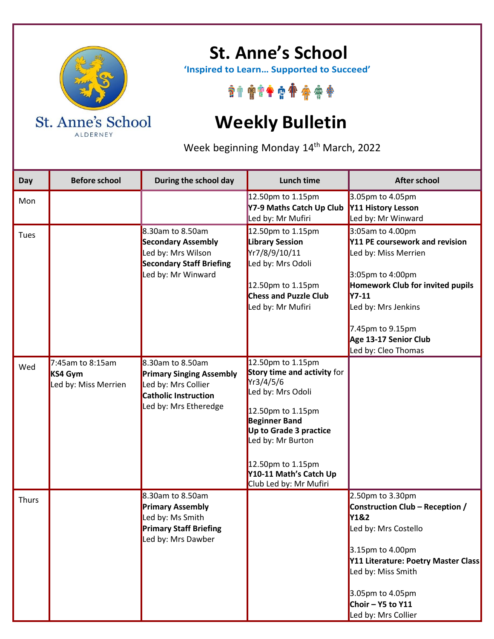

ALDERNEY

**St. Anne's School**

 **'Inspired to Learn… Supported to Succeed'**

\*\*\*\*\*\*\*\*\*\*

## **Weekly Bulletin**

Week beginning Monday 14<sup>th</sup> March, 2022

| Day          | <b>Before school</b>                                | During the school day                                                                                                              | <b>Lunch time</b>                                                                                                                                                                                                                                       | <b>After school</b>                                                                                                                                                                                                                             |
|--------------|-----------------------------------------------------|------------------------------------------------------------------------------------------------------------------------------------|---------------------------------------------------------------------------------------------------------------------------------------------------------------------------------------------------------------------------------------------------------|-------------------------------------------------------------------------------------------------------------------------------------------------------------------------------------------------------------------------------------------------|
| Mon          |                                                     |                                                                                                                                    | 12.50pm to 1.15pm<br>Y7-9 Maths Catch Up Club<br>Led by: Mr Mufiri                                                                                                                                                                                      | 3.05pm to 4.05pm<br>Y11 History Lesson<br>Led by: Mr Winward                                                                                                                                                                                    |
| Tues         |                                                     | 8.30am to 8.50am<br><b>Secondary Assembly</b><br>Led by: Mrs Wilson<br><b>Secondary Staff Briefing</b><br>Led by: Mr Winward       | 12.50pm to 1.15pm<br><b>Library Session</b><br>Yr7/8/9/10/11<br>Led by: Mrs Odoli<br>12.50pm to 1.15pm<br><b>Chess and Puzzle Club</b><br>Led by: Mr Mufiri                                                                                             | 3:05am to 4.00pm<br>Y11 PE coursework and revision<br>Led by: Miss Merrien<br>3:05pm to 4:00pm<br><b>Homework Club for invited pupils</b><br>$Y7-11$<br>Led by: Mrs Jenkins<br>7.45pm to 9.15pm<br>Age 13-17 Senior Club<br>Led by: Cleo Thomas |
| Wed          | 7:45am to 8:15am<br>KS4 Gym<br>Led by: Miss Merrien | 8.30am to 8.50am<br><b>Primary Singing Assembly</b><br>Led by: Mrs Collier<br><b>Catholic Instruction</b><br>Led by: Mrs Etheredge | 12.50pm to 1.15pm<br>Story time and activity for<br>Yr3/4/5/6<br>Led by: Mrs Odoli<br>12.50pm to 1.15pm<br><b>Beginner Band</b><br>Up to Grade 3 practice<br>Led by: Mr Burton<br>12.50pm to 1.15pm<br>Y10-11 Math's Catch Up<br>Club Led by: Mr Mufiri |                                                                                                                                                                                                                                                 |
| <b>Thurs</b> |                                                     | 8.30am to 8.50am<br><b>Primary Assembly</b><br>Led by: Ms Smith<br><b>Primary Staff Briefing</b><br>Led by: Mrs Dawber             |                                                                                                                                                                                                                                                         | 2.50pm to 3.30pm<br>Construction Club - Reception /<br>Y1&2<br>Led by: Mrs Costello<br>3.15pm to 4.00pm<br>Y11 Literature: Poetry Master Class<br>Led by: Miss Smith<br>3.05pm to 4.05pm<br>Choir - Y5 to Y11<br>Led by: Mrs Collier            |